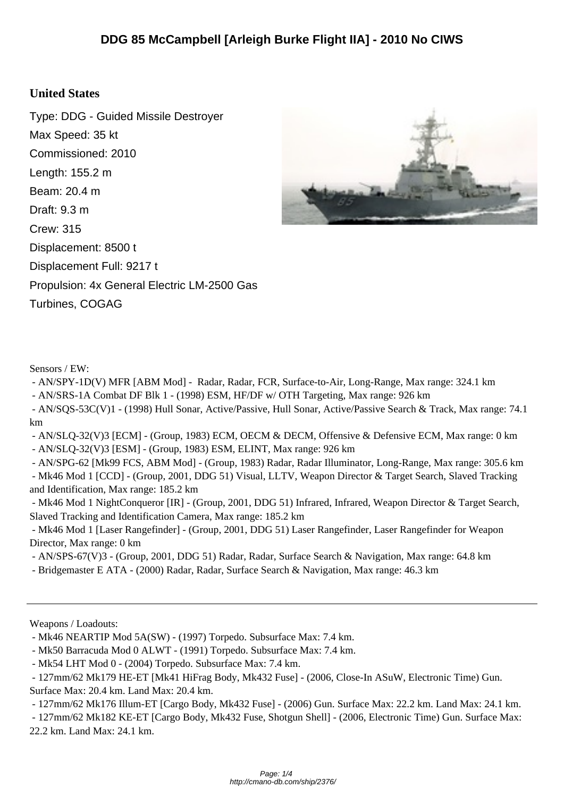## **United States**

Type: DDG - Guided Missile Destroyer Max Speed: 35 kt Commissioned: 2010 Length: 155.2 m Beam: 20.4 m Draft: 9.3 m Crew: 315 Displacement: 8500 t Displacement Full: 9217 t Propulsion: 4x General Electric LM-2500 Gas Turbines, COGAG



Sensors / EW:

- AN/SPY-1D(V) MFR [ABM Mod] - Radar, Radar, FCR, Surface-to-Air, Long-Range, Max range: 324.1 km

- AN/SRS-1A Combat DF Blk 1 - (1998) ESM, HF/DF w/ OTH Targeting, Max range: 926 km

 - AN/SQS-53C(V)1 - (1998) Hull Sonar, Active/Passive, Hull Sonar, Active/Passive Search & Track, Max range: 74.1 km

 - AN/SLQ-32(V)3 [ECM] - (Group, 1983) ECM, OECM & DECM, Offensive & Defensive ECM, Max range: 0 km - AN/SLQ-32(V)3 [ESM] - (Group, 1983) ESM, ELINT, Max range: 926 km

 - AN/SPG-62 [Mk99 FCS, ABM Mod] - (Group, 1983) Radar, Radar Illuminator, Long-Range, Max range: 305.6 km - Mk46 Mod 1 [CCD] - (Group, 2001, DDG 51) Visual, LLTV, Weapon Director & Target Search, Slaved Tracking and Identification, Max range: 185.2 km

 - Mk46 Mod 1 NightConqueror [IR] - (Group, 2001, DDG 51) Infrared, Infrared, Weapon Director & Target Search, Slaved Tracking and Identification Camera, Max range: 185.2 km

 - Mk46 Mod 1 [Laser Rangefinder] - (Group, 2001, DDG 51) Laser Rangefinder, Laser Rangefinder for Weapon Director, Max range: 0 km

- AN/SPS-67(V)3 - (Group, 2001, DDG 51) Radar, Radar, Surface Search & Navigation, Max range: 64.8 km

- Bridgemaster E ATA - (2000) Radar, Radar, Surface Search & Navigation, Max range: 46.3 km

Weapons / Loadouts:

- Mk50 Barracuda Mod 0 ALWT - (1991) Torpedo. Subsurface Max: 7.4 km.

- 127mm/62 Mk176 Illum-ET [Cargo Body, Mk432 Fuse] - (2006) Gun. Surface Max: 22.2 km. Land Max: 24.1 km.

 - 127mm/62 Mk182 KE-ET [Cargo Body, Mk432 Fuse, Shotgun Shell] - (2006, Electronic Time) Gun. Surface Max: 22.2 km. Land Max: 24.1 km.

 <sup>-</sup> Mk46 NEARTIP Mod 5A(SW) - (1997) Torpedo. Subsurface Max: 7.4 km.

 <sup>-</sup> Mk54 LHT Mod 0 - (2004) Torpedo. Subsurface Max: 7.4 km.

 <sup>- 127</sup>mm/62 Mk179 HE-ET [Mk41 HiFrag Body, Mk432 Fuse] - (2006, Close-In ASuW, Electronic Time) Gun. Surface Max: 20.4 km. Land Max: 20.4 km.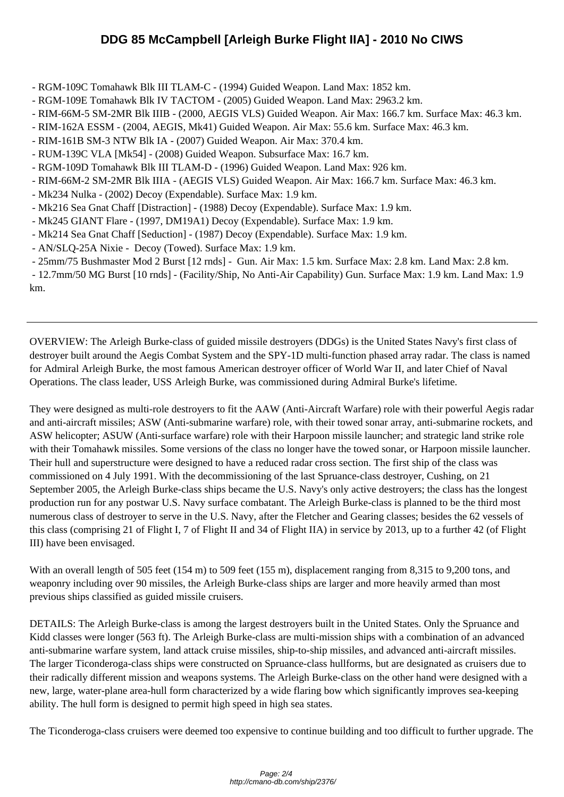- RGM-109C T[omahawk Blk III TLAM-C \(1994\) Guided Weapon. Land Max: 1852 km.](http://cmano-db.com/ship/2376/)
- RGM-109E Tomahawk Blk IV TACTOM (2005) Guided Weapon. Land Max: 2963.2 km.
- RIM-66M-5 SM-2MR Blk IIIB (2000, AEGIS VLS) Guided Weapon. Air Max: 166.7 km. Surface Max: 46.3 km.
- RIM-162A ESSM (2004, AEGIS, Mk41) Guided Weapon. Air Max: 55.6 km. Surface Max: 46.3 km.
- RIM-161B SM-3 NTW Blk IA (2007) Guided Weapon. Air Max: 370.4 km.
- RUM-139C VLA [Mk54] (2008) Guided Weapon. Subsurface Max: 16.7 km.
- RGM-109D Tomahawk Blk III TLAM-D (1996) Guided Weapon. Land Max: 926 km.
- RIM-66M-2 SM-2MR Blk IIIA (AEGIS VLS) Guided Weapon. Air Max: 166.7 km. Surface Max: 46.3 km.
- Mk234 Nulka (2002) Decoy (Expendable). Surface Max: 1.9 km.
- Mk216 Sea Gnat Chaff [Distraction] (1988) Decoy (Expendable). Surface Max: 1.9 km.
- Mk245 GIANT Flare (1997, DM19A1) Decoy (Expendable). Surface Max: 1.9 km.
- Mk214 Sea Gnat Chaff [Seduction] (1987) Decoy (Expendable). Surface Max: 1.9 km.
- AN/SLQ-25A Nixie Decoy (Towed). Surface Max: 1.9 km.
- 25mm/75 Bushmaster Mod 2 Burst [12 rnds] Gun. Air Max: 1.5 km. Surface Max: 2.8 km. Land Max: 2.8 km.

 - 12.7mm/50 MG Burst [10 rnds] - (Facility/Ship, No Anti-Air Capability) Gun. Surface Max: 1.9 km. Land Max: 1.9 km.

OVERVIEW: The Arleigh Burke-class of guided missile destroyers (DDGs) is the United States Navy's first class of destroyer built around the Aegis Combat System and the SPY-1D multi-function phased array radar. The class is named for Admiral Arleigh Burke, the most famous American destroyer officer of World War II, and later Chief of Naval Operations. The class leader, USS Arleigh Burke, was commissioned during Admiral Burke's lifetime.

They were designed as multi-role destroyers to fit the AAW (Anti-Aircraft Warfare) role with their powerful Aegis radar and anti-aircraft missiles; ASW (Anti-submarine warfare) role, with their towed sonar array, anti-submarine rockets, and ASW helicopter; ASUW (Anti-surface warfare) role with their Harpoon missile launcher; and strategic land strike role with their Tomahawk missiles. Some versions of the class no longer have the towed sonar, or Harpoon missile launcher. Their hull and superstructure were designed to have a reduced radar cross section. The first ship of the class was commissioned on 4 July 1991. With the decommissioning of the last Spruance-class destroyer, Cushing, on 21 September 2005, the Arleigh Burke-class ships became the U.S. Navy's only active destroyers; the class has the longest production run for any postwar U.S. Navy surface combatant. The Arleigh Burke-class is planned to be the third most numerous class of destroyer to serve in the U.S. Navy, after the Fletcher and Gearing classes; besides the 62 vessels of this class (comprising 21 of Flight I, 7 of Flight II and 34 of Flight IIA) in service by 2013, up to a further 42 (of Flight III) have been envisaged.

With an overall length of 505 feet (154 m) to 509 feet (155 m), displacement ranging from 8,315 to 9,200 tons, and weaponry including over 90 missiles, the Arleigh Burke-class ships are larger and more heavily armed than most previous ships classified as guided missile cruisers.

DETAILS: The Arleigh Burke-class is among the largest destroyers built in the United States. Only the Spruance and Kidd classes were longer (563 ft). The Arleigh Burke-class are multi-mission ships with a combination of an advanced anti-submarine warfare system, land attack cruise missiles, ship-to-ship missiles, and advanced anti-aircraft missiles. The larger Ticonderoga-class ships were constructed on Spruance-class hullforms, but are designated as cruisers due to their radically different mission and weapons systems. The Arleigh Burke-class on the other hand were designed with a new, large, water-plane area-hull form characterized by a wide flaring bow which significantly improves sea-keeping ability. The hull form is designed to permit high speed in high sea states.

The Ticonderoga-class cruisers were deemed too expensive to continue building and too difficult to further upgrade. The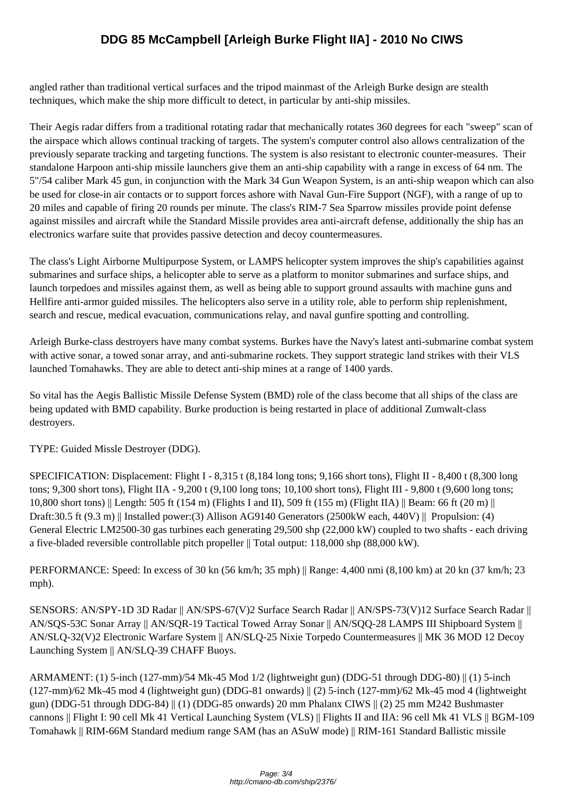angled rather tha[n traditional vertical surfaces and the tripod mainmast of the Arleigh Burke design are s](http://cmano-db.com/ship/2376/)tealth techniques, which make the ship more difficult to detect, in particular by anti-ship missiles.

Their Aegis radar differs from a traditional rotating radar that mechanically rotates 360 degrees for each "sweep" scan of the airspace which allows continual tracking of targets. The system's computer control also allows centralization of the previously separate tracking and targeting functions. The system is also resistant to electronic counter-measures. Their standalone Harpoon anti-ship missile launchers give them an anti-ship capability with a range in excess of 64 nm. The 5"/54 caliber Mark 45 gun, in conjunction with the Mark 34 Gun Weapon System, is an anti-ship weapon which can also be used for close-in air contacts or to support forces ashore with Naval Gun-Fire Support (NGF), with a range of up to 20 miles and capable of firing 20 rounds per minute. The class's RIM-7 Sea Sparrow missiles provide point defense against missiles and aircraft while the Standard Missile provides area anti-aircraft defense, additionally the ship has an electronics warfare suite that provides passive detection and decoy countermeasures.

The class's Light Airborne Multipurpose System, or LAMPS helicopter system improves the ship's capabilities against submarines and surface ships, a helicopter able to serve as a platform to monitor submarines and surface ships, and launch torpedoes and missiles against them, as well as being able to support ground assaults with machine guns and Hellfire anti-armor guided missiles. The helicopters also serve in a utility role, able to perform ship replenishment, search and rescue, medical evacuation, communications relay, and naval gunfire spotting and controlling.

Arleigh Burke-class destroyers have many combat systems. Burkes have the Navy's latest anti-submarine combat system with active sonar, a towed sonar array, and anti-submarine rockets. They support strategic land strikes with their VLS launched Tomahawks. They are able to detect anti-ship mines at a range of 1400 yards.

So vital has the Aegis Ballistic Missile Defense System (BMD) role of the class become that all ships of the class are being updated with BMD capability. Burke production is being restarted in place of additional Zumwalt-class destroyers.

TYPE: Guided Missle Destroyer (DDG).

SPECIFICATION: Displacement: Flight I - 8,315 t (8,184 long tons; 9,166 short tons), Flight II - 8,400 t (8,300 long tons; 9,300 short tons), Flight IIA - 9,200 t (9,100 long tons; 10,100 short tons), Flight III - 9,800 t (9,600 long tons; 10,800 short tons) || Length: 505 ft (154 m) (Flights I and II), 509 ft (155 m) (Flight IIA) || Beam: 66 ft (20 m) || Draft:  $30.5$  ft (9.3 m) || Installed power: (3) Allison AG9140 Generators (2500kW each, 440V) || Propulsion: (4) General Electric LM2500-30 gas turbines each generating 29,500 shp (22,000 kW) coupled to two shafts - each driving a five-bladed reversible controllable pitch propeller || Total output: 118,000 shp (88,000 kW).

PERFORMANCE: Speed: In excess of 30 kn (56 km/h; 35 mph) || Range: 4,400 nmi (8,100 km) at 20 kn (37 km/h; 23 mph).

SENSORS: AN/SPY-1D 3D Radar || AN/SPS-67(V)2 Surface Search Radar || AN/SPS-73(V)12 Surface Search Radar || AN/SQS-53C Sonar Array || AN/SQR-19 Tactical Towed Array Sonar || AN/SQQ-28 LAMPS III Shipboard System || AN/SLQ-32(V)2 Electronic Warfare System || AN/SLQ-25 Nixie Torpedo Countermeasures || MK 36 MOD 12 Decoy Launching System || AN/SLQ-39 CHAFF Buoys.

ARMAMENT: (1) 5-inch (127-mm)/54 Mk-45 Mod 1/2 (lightweight gun) (DDG-51 through DDG-80) || (1) 5-inch (127-mm)/62 Mk-45 mod 4 (lightweight gun) (DDG-81 onwards) || (2) 5-inch (127-mm)/62 Mk-45 mod 4 (lightweight gun) (DDG-51 through DDG-84) || (1) (DDG-85 onwards) 20 mm Phalanx CIWS || (2) 25 mm M242 Bushmaster cannons || Flight I: 90 cell Mk 41 Vertical Launching System (VLS) || Flights II and IIA: 96 cell Mk 41 VLS || BGM-109 Tomahawk || RIM-66M Standard medium range SAM (has an ASuW mode) || RIM-161 Standard Ballistic missile